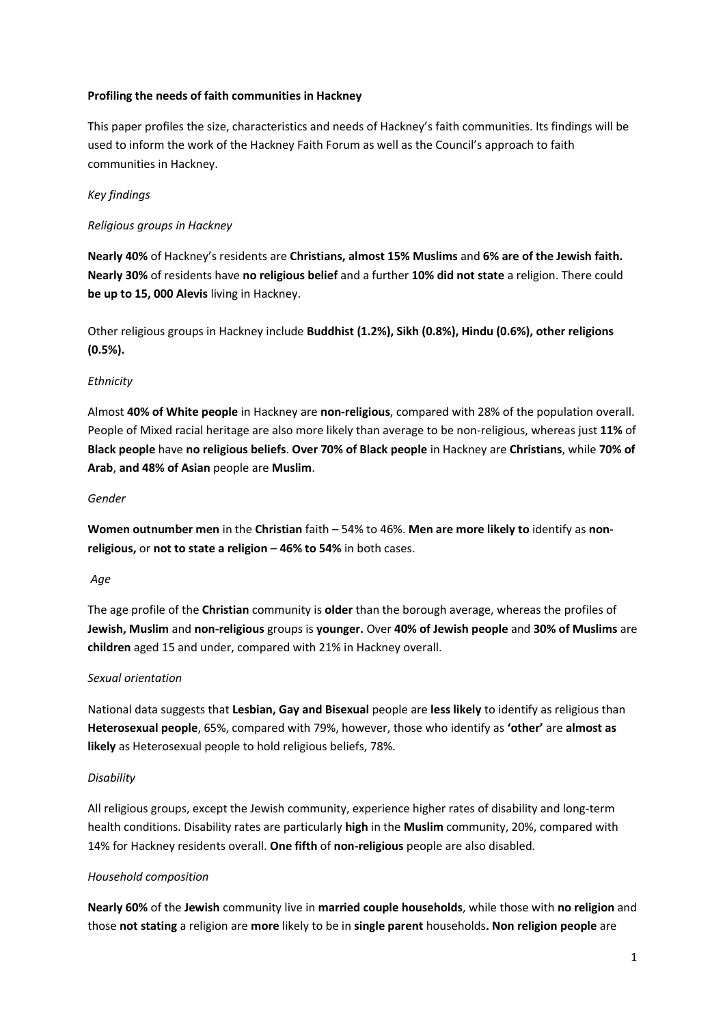#### **Profiling the needs of faith communities in Hackney**

This paper profiles the size, characteristics and needs of Hackney's faith communities. Its findings will be used to inform the work of the Hackney Faith Forum as well as the Council's approach to faith communities in Hackney.

## *Key findings*

### *Religious groups in Hackney*

**Nearly 40%** of Hackney's residents are **Christians, almost 15% Muslims** and **6% are of the Jewish faith. Nearly 30%** of residents have **no religious belief** and a further **10% did not state** a religion. There could **be up to 15, 000 Alevis** living in Hackney.

Other religious groups in Hackney include **Buddhist (1.2%), Sikh (0.8%), Hindu (0.6%), other religions (0.5%).**

### *Ethnicity*

Almost **40% of White people** in Hackney are **non-religious**, compared with 28% of the population overall. People of Mixed racial heritage are also more likely than average to be non-religious, whereas just **11%** of **Black people** have **no religious beliefs**. **Over 70% of Black people** in Hackney are **Christians**, while **70% of Arab**, **and 48% of Asian** people are **Muslim**.

#### *Gender*

**Women outnumber men** in the **Christian** faith – 54% to 46%. **Men are more likely to** identify as **nonreligious,** or **not to state a religion** – **46% to 54%** in both cases.

#### *Age*

The age profile of the **Christian** community is **older** than the borough average, whereas the profiles of **Jewish, Muslim** and **non-religious** groups is **younger.** Over **40% of Jewish people** and **30% of Muslims** are **children** aged 15 and under, compared with 21% in Hackney overall.

#### *Sexual orientation*

National data suggests that **Lesbian, Gay and Bisexual** people are **less likely** to identify as religious than **Heterosexual people**, 65%, compared with 79%, however, those who identify as **'other'** are **almost as likely** as Heterosexual people to hold religious beliefs, 78%.

#### *Disability*

All religious groups, except the Jewish community, experience higher rates of disability and long-term health conditions. Disability rates are particularly **high** in the **Muslim** community, 20%, compared with 14% for Hackney residents overall. **One fifth** of **non-religious** people are also disabled.

#### *Household composition*

**Nearly 60%** of the **Jewish** community live in **married couple households**, while those with **no religion** and those **not stating** a religion are **more** likely to be in **single parent** households**. Non religion people** are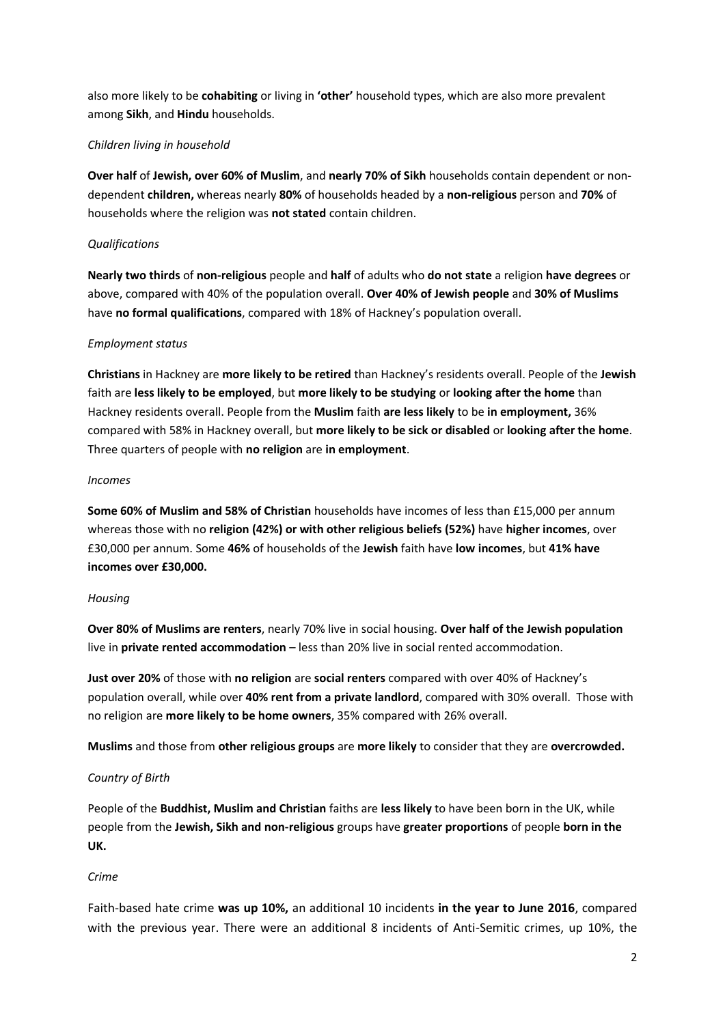also more likely to be **cohabiting** or living in **'other'** household types, which are also more prevalent among **Sikh**, and **Hindu** households.

### *Children living in household*

**Over half** of **Jewish, over 60% of Muslim**, and **nearly 70% of Sikh** households contain dependent or nondependent **children,** whereas nearly **80%** of households headed by a **non-religious** person and **70%** of households where the religion was **not stated** contain children.

### *Qualifications*

**Nearly two thirds** of **non-religious** people and **half** of adults who **do not state** a religion **have degrees** or above, compared with 40% of the population overall. **Over 40% of Jewish people** and **30% of Muslims** have **no formal qualifications**, compared with 18% of Hackney's population overall.

### *Employment status*

**Christians** in Hackney are **more likely to be retired** than Hackney's residents overall. People of the **Jewish**  faith are **less likely to be employed**, but **more likely to be studying** or **looking after the home** than Hackney residents overall. People from the **Muslim** faith **are less likely** to be **in employment,** 36% compared with 58% in Hackney overall, but **more likely to be sick or disabled** or **looking after the home**. Three quarters of people with **no religion** are **in employment**.

#### *Incomes*

**Some 60% of Muslim and 58% of Christian** households have incomes of less than £15,000 per annum whereas those with no **religion (42%) or with other religious beliefs (52%)** have **higher incomes**, over £30,000 per annum. Some **46%** of households of the **Jewish** faith have **low incomes**, but **41% have incomes over £30,000.**

#### *Housing*

**Over 80% of Muslims are renters**, nearly 70% live in social housing. **Over half of the Jewish population** live in **private rented accommodation** – less than 20% live in social rented accommodation.

**Just over 20%** of those with **no religion** are **social renters** compared with over 40% of Hackney's population overall, while over **40% rent from a private landlord**, compared with 30% overall. Those with no religion are **more likely to be home owners**, 35% compared with 26% overall.

**Muslims** and those from **other religious groups** are **more likely** to consider that they are **overcrowded.**

## *Country of Birth*

People of the **Buddhist, Muslim and Christian** faiths are **less likely** to have been born in the UK, while people from the **Jewish, Sikh and non-religious** groups have **greater proportions** of people **born in the UK.**

## *Crime*

Faith-based hate crime **was up 10%,** an additional 10 incidents **in the year to June 2016**, compared with the previous year. There were an additional 8 incidents of Anti-Semitic crimes, up 10%, the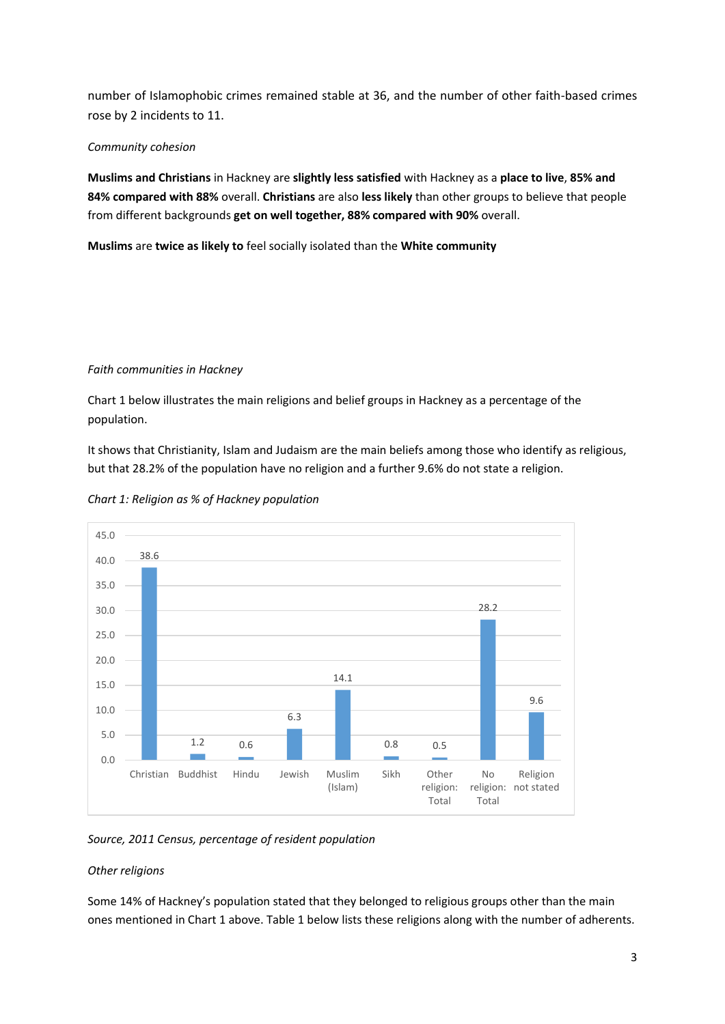number of Islamophobic crimes remained stable at 36, and the number of other faith-based crimes rose by 2 incidents to 11.

### *Community cohesion*

**Muslims and Christians** in Hackney are **slightly less satisfied** with Hackney as a **place to live**, **85% and 84% compared with 88%** overall. **Christians** are also **less likely** than other groups to believe that people from different backgrounds **get on well together, 88% compared with 90%** overall.

**Muslims** are **twice as likely to** feel socially isolated than the **White community**

#### *Faith communities in Hackney*

Chart 1 below illustrates the main religions and belief groups in Hackney as a percentage of the population.

It shows that Christianity, Islam and Judaism are the main beliefs among those who identify as religious, but that 28.2% of the population have no religion and a further 9.6% do not state a religion.



*Chart 1: Religion as % of Hackney population*

*Source, 2011 Census, percentage of resident population*

## *Other religions*

Some 14% of Hackney's population stated that they belonged to religious groups other than the main ones mentioned in Chart 1 above. Table 1 below lists these religions along with the number of adherents.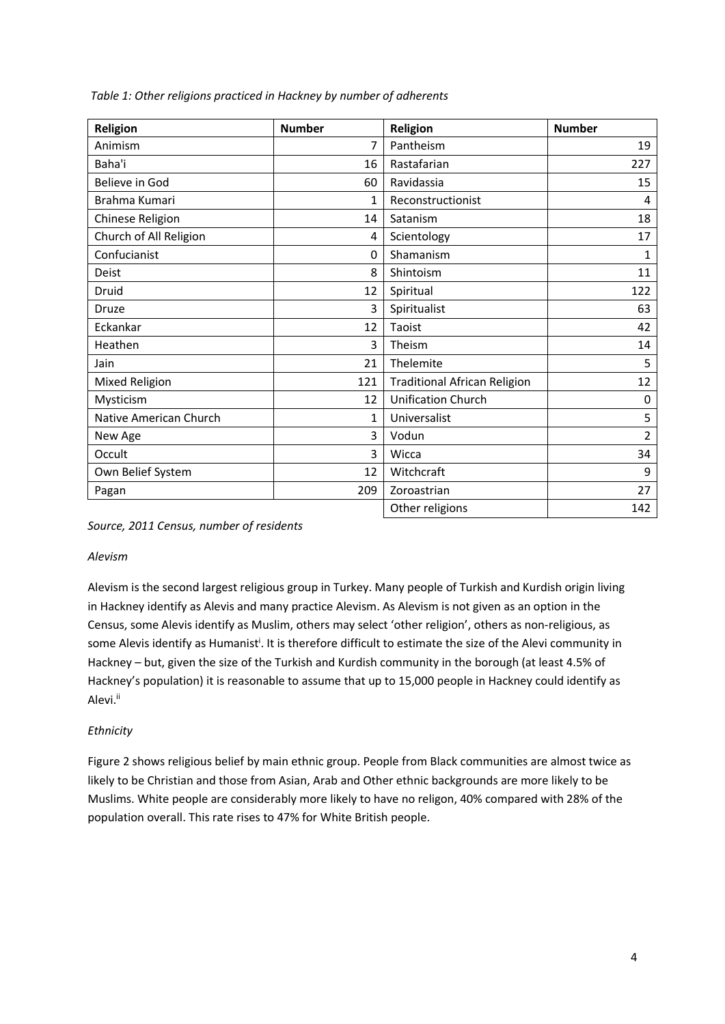| Religion               | <b>Number</b> | <b>Religion</b>                     | <b>Number</b>  |
|------------------------|---------------|-------------------------------------|----------------|
| Animism                | 7             | Pantheism                           | 19             |
| Baha'i                 | 16            | Rastafarian                         | 227            |
| Believe in God         | 60            | Ravidassia                          | 15             |
| Brahma Kumari          | $\mathbf{1}$  | Reconstructionist                   | 4              |
| Chinese Religion       | 14            | Satanism                            | 18             |
| Church of All Religion | 4             | Scientology                         | 17             |
| Confucianist           | 0             | Shamanism                           | $\mathbf{1}$   |
| <b>Deist</b>           | 8             | Shintoism                           | 11             |
| Druid                  | 12            | Spiritual                           | 122            |
| <b>Druze</b>           | 3             | Spiritualist                        | 63             |
| Eckankar               | 12            | Taoist                              | 42             |
| Heathen                | 3             | Theism                              | 14             |
| Jain                   | 21            | Thelemite                           | 5              |
| Mixed Religion         | 121           | <b>Traditional African Religion</b> | 12             |
| Mysticism              | 12            | <b>Unification Church</b>           | 0              |
| Native American Church | 1             | Universalist                        | 5              |
| New Age                | 3             | Vodun                               | $\overline{2}$ |
| Occult                 | 3             | Wicca                               | 34             |
| Own Belief System      | 12            | Witchcraft                          | 9              |
| Pagan                  | 209           | Zoroastrian                         | 27             |
|                        |               | Other religions                     | 142            |

*Table 1: Other religions practiced in Hackney by number of adherents*

*Source, 2011 Census, number of residents*

#### *Alevism*

Alevism is the second largest religious group in Turkey. Many people of Turkish and Kurdish origin living in Hackney identify as Alevis and many practice Alevism. As Alevism is not given as an option in the Census, some Alevis identify as Muslim, others may select 'other religion', others as non-religious, as some Alevis identify as Humanist<sup>i</sup>. It is therefore difficult to estimate the size of the Alevi community in Hackney – but, given the size of the Turkish and Kurdish community in the borough (at least 4.5% of Hackney's population) it is reasonable to assume that up to 15,000 people in Hackney could identify as Alevi.<sup>ii</sup>

## *Ethnicity*

Figure 2 shows religious belief by main ethnic group. People from Black communities are almost twice as likely to be Christian and those from Asian, Arab and Other ethnic backgrounds are more likely to be Muslims. White people are considerably more likely to have no religon, 40% compared with 28% of the population overall. This rate rises to 47% for White British people.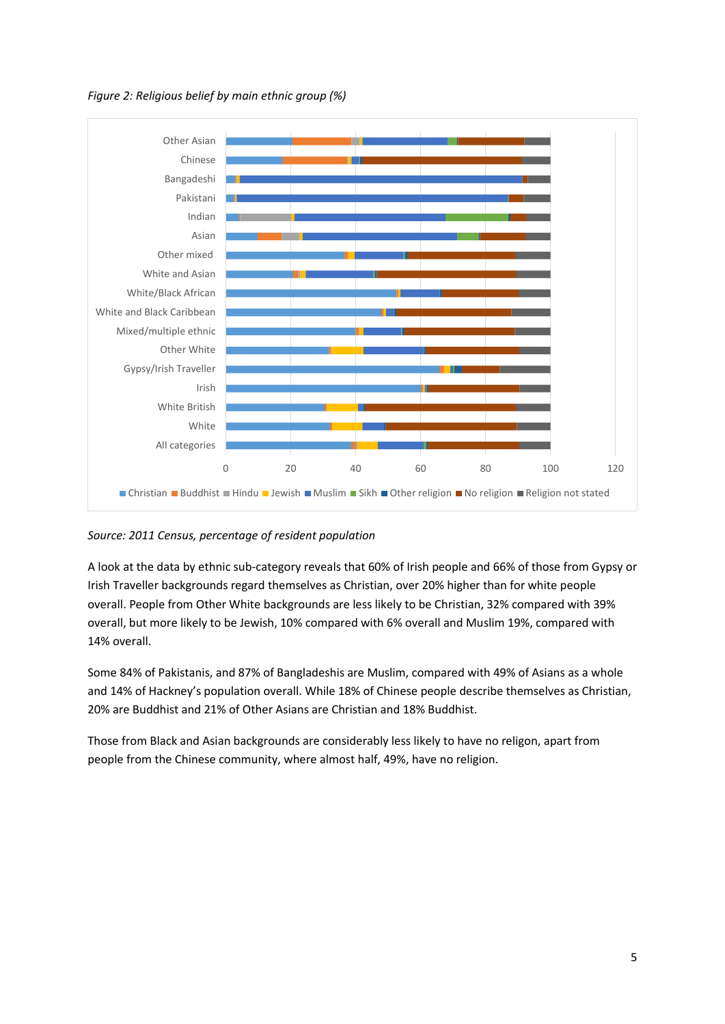*Figure 2: Religious belief by main ethnic group (%)*



## *Source: 2011 Census, percentage of resident population*

A look at the data by ethnic sub-category reveals that 60% of Irish people and 66% of those from Gypsy or Irish Traveller backgrounds regard themselves as Christian, over 20% higher than for white people overall. People from Other White backgrounds are less likely to be Christian, 32% compared with 39% overall, but more likely to be Jewish, 10% compared with 6% overall and Muslim 19%, compared with 14% overall.

Some 84% of Pakistanis, and 87% of Bangladeshis are Muslim, compared with 49% of Asians as a whole and 14% of Hackney's population overall. While 18% of Chinese people describe themselves as Christian, 20% are Buddhist and 21% of Other Asians are Christian and 18% Buddhist.

Those from Black and Asian backgrounds are considerably less likely to have no religon, apart from people from the Chinese community, where almost half, 49%, have no religion.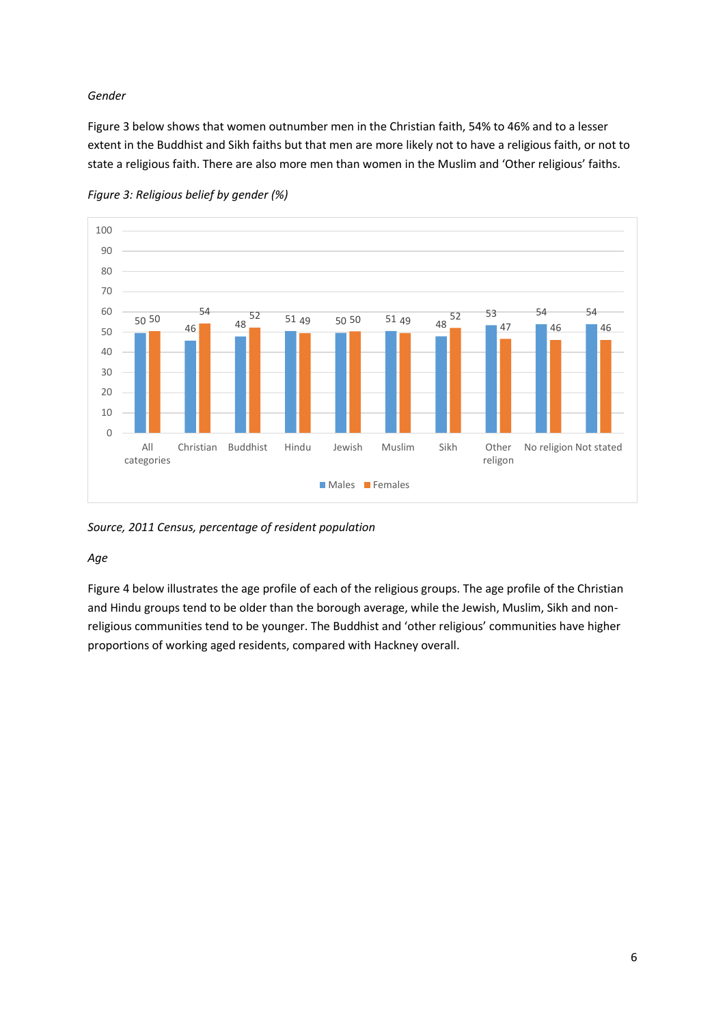### *Gender*

Figure 3 below shows that women outnumber men in the Christian faith, 54% to 46% and to a lesser extent in the Buddhist and Sikh faiths but that men are more likely not to have a religious faith, or not to state a religious faith. There are also more men than women in the Muslim and 'Other religious' faiths.



*Figure 3: Religious belief by gender (%)*

*Source, 2011 Census, percentage of resident population*

#### *Age*

Figure 4 below illustrates the age profile of each of the religious groups. The age profile of the Christian and Hindu groups tend to be older than the borough average, while the Jewish, Muslim, Sikh and nonreligious communities tend to be younger. The Buddhist and 'other religious' communities have higher proportions of working aged residents, compared with Hackney overall.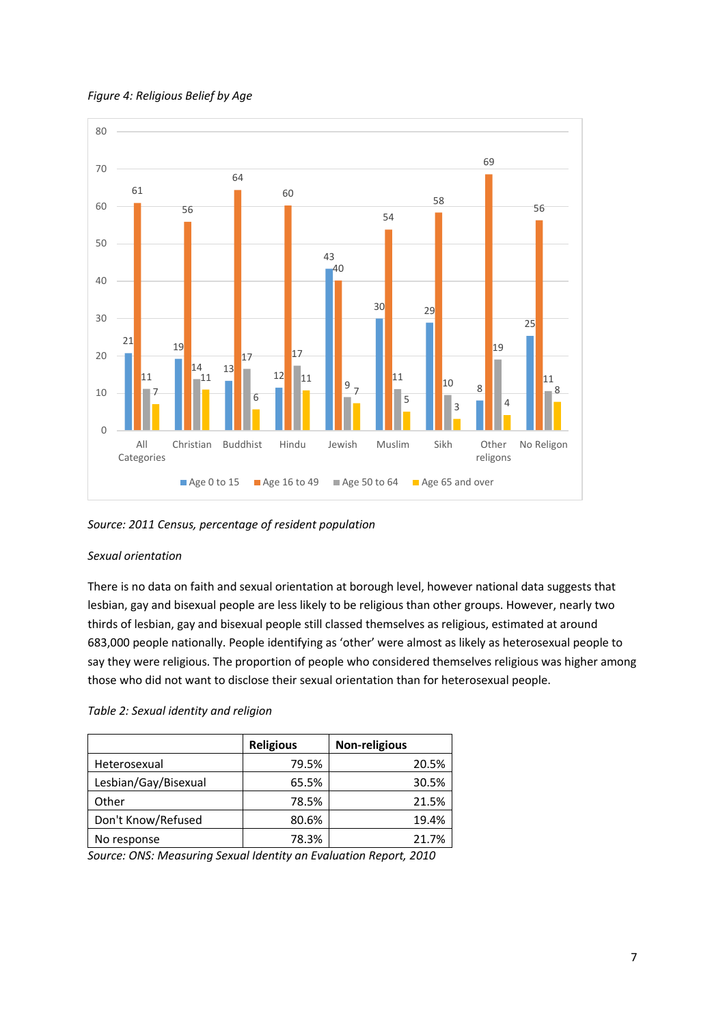



*Source: 2011 Census, percentage of resident population*

#### *Sexual orientation*

There is no data on faith and sexual orientation at borough level, however national data suggests that lesbian, gay and bisexual people are less likely to be religious than other groups. However, nearly two thirds of lesbian, gay and bisexual people still classed themselves as religious, estimated at around 683,000 people nationally. People identifying as 'other' were almost as likely as heterosexual people to say they were religious. The proportion of people who considered themselves religious was higher among those who did not want to disclose their sexual orientation than for heterosexual people.

#### *Table 2: Sexual identity and religion*

|                      | <b>Religious</b> | <b>Non-religious</b> |  |  |
|----------------------|------------------|----------------------|--|--|
| Heterosexual         | 79.5%            | 20.5%                |  |  |
| Lesbian/Gay/Bisexual | 65.5%            | 30.5%                |  |  |
| Other                | 78.5%            | 21.5%                |  |  |
| Don't Know/Refused   | 80.6%            | 19.4%                |  |  |
| No response          | 78.3%            | 21.7%                |  |  |

*Source: ONS: Measuring Sexual Identity an Evaluation Report, 2010*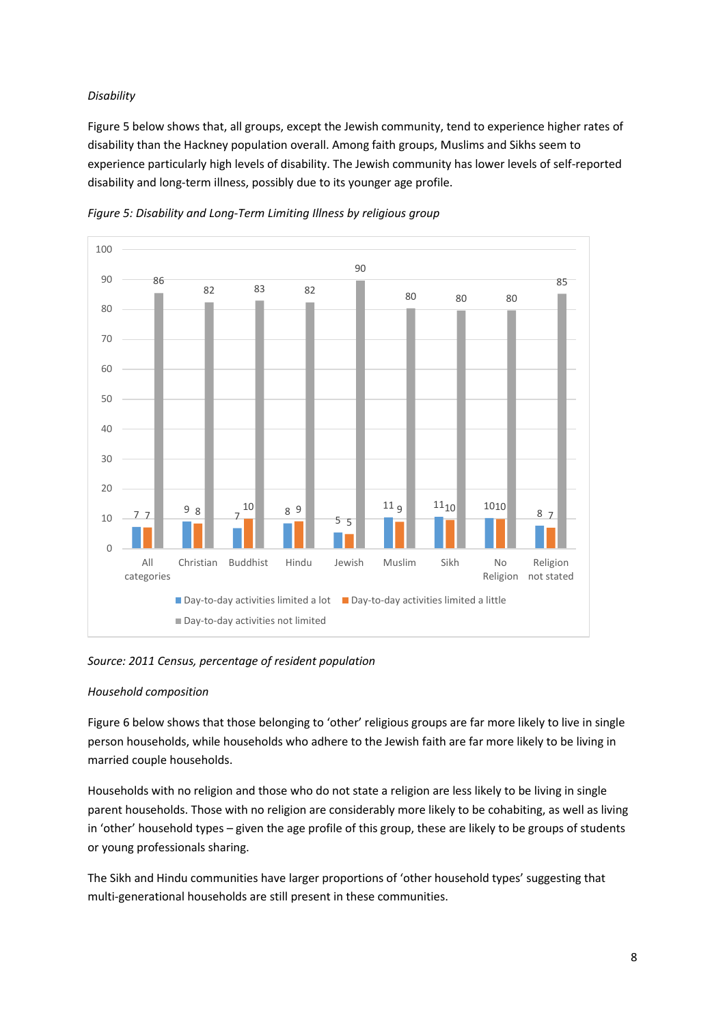## *Disability*

Figure 5 below shows that, all groups, except the Jewish community, tend to experience higher rates of disability than the Hackney population overall. Among faith groups, Muslims and Sikhs seem to experience particularly high levels of disability. The Jewish community has lower levels of self-reported disability and long-term illness, possibly due to its younger age profile.



*Figure 5: Disability and Long-Term Limiting Illness by religious group*

## *Source: 2011 Census, percentage of resident population*

## *Household composition*

Figure 6 below shows that those belonging to 'other' religious groups are far more likely to live in single person households, while households who adhere to the Jewish faith are far more likely to be living in married couple households.

Households with no religion and those who do not state a religion are less likely to be living in single parent households. Those with no religion are considerably more likely to be cohabiting, as well as living in 'other' household types – given the age profile of this group, these are likely to be groups of students or young professionals sharing.

The Sikh and Hindu communities have larger proportions of 'other household types' suggesting that multi-generational households are still present in these communities.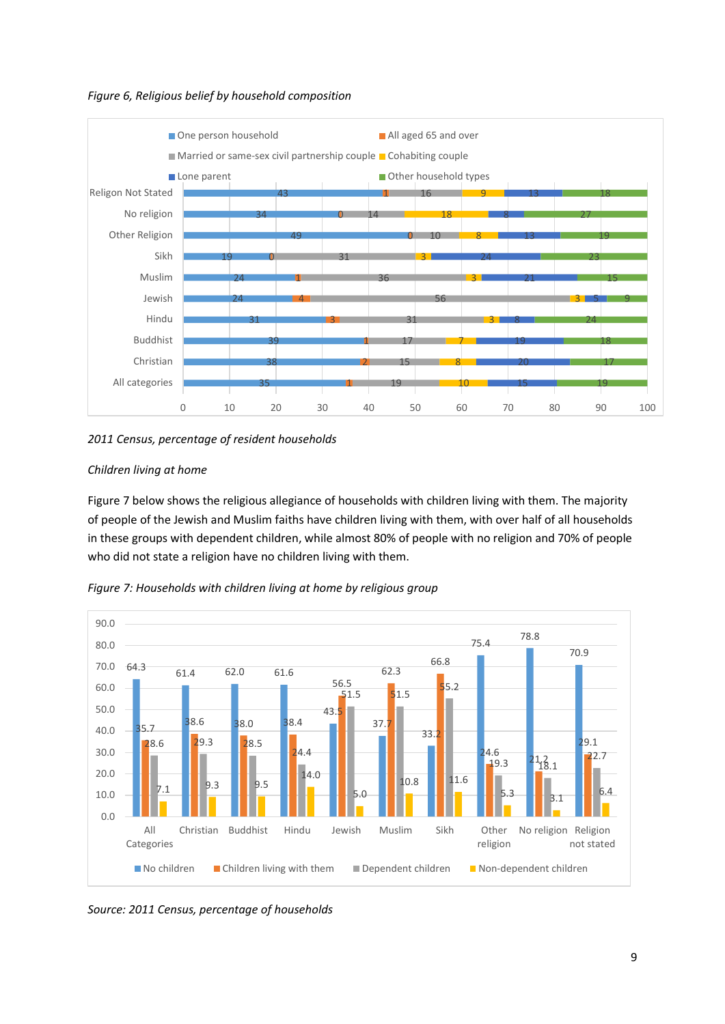*Figure 6, Religious belief by household composition*



*2011 Census, percentage of resident households*

# *Children living at home*

Figure 7 below shows the religious allegiance of households with children living with them. The majority of people of the Jewish and Muslim faiths have children living with them, with over half of all households in these groups with dependent children, while almost 80% of people with no religion and 70% of people who did not state a religion have no children living with them.





*Source: 2011 Census, percentage of households*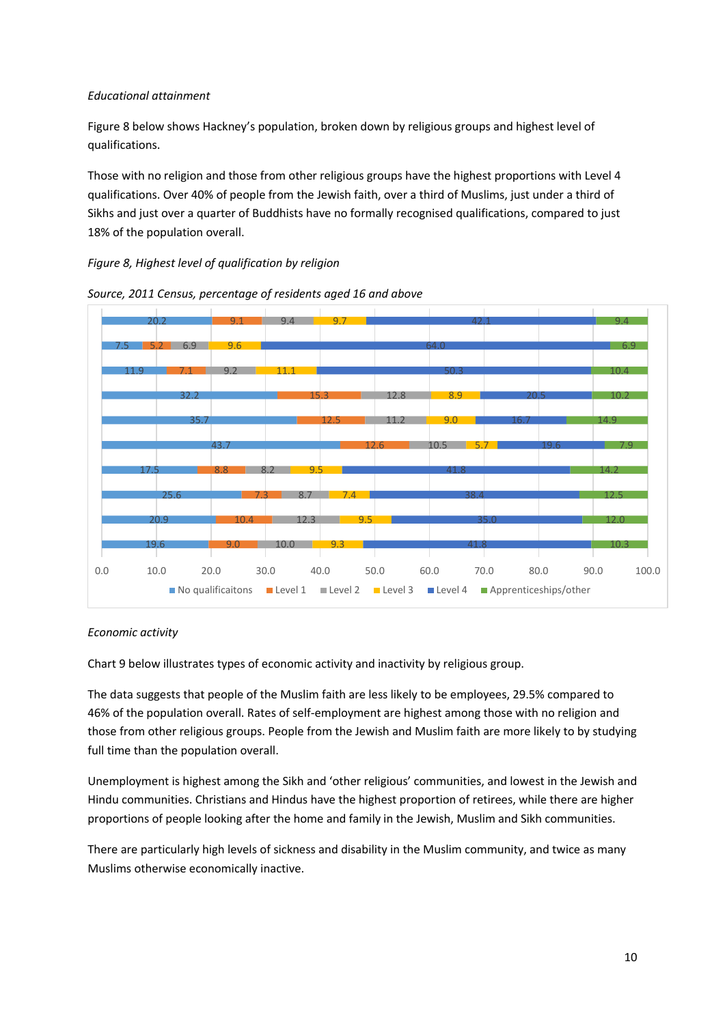### *Educational attainment*

Figure 8 below shows Hackney's population, broken down by religious groups and highest level of qualifications.

Those with no religion and those from other religious groups have the highest proportions with Level 4 qualifications. Over 40% of people from the Jewish faith, over a third of Muslims, just under a third of Sikhs and just over a quarter of Buddhists have no formally recognised qualifications, compared to just 18% of the population overall.

## *Figure 8, Highest level of qualification by religion*





#### *Economic activity*

Chart 9 below illustrates types of economic activity and inactivity by religious group.

The data suggests that people of the Muslim faith are less likely to be employees, 29.5% compared to 46% of the population overall. Rates of self-employment are highest among those with no religion and those from other religious groups. People from the Jewish and Muslim faith are more likely to by studying full time than the population overall.

Unemployment is highest among the Sikh and 'other religious' communities, and lowest in the Jewish and Hindu communities. Christians and Hindus have the highest proportion of retirees, while there are higher proportions of people looking after the home and family in the Jewish, Muslim and Sikh communities.

There are particularly high levels of sickness and disability in the Muslim community, and twice as many Muslims otherwise economically inactive.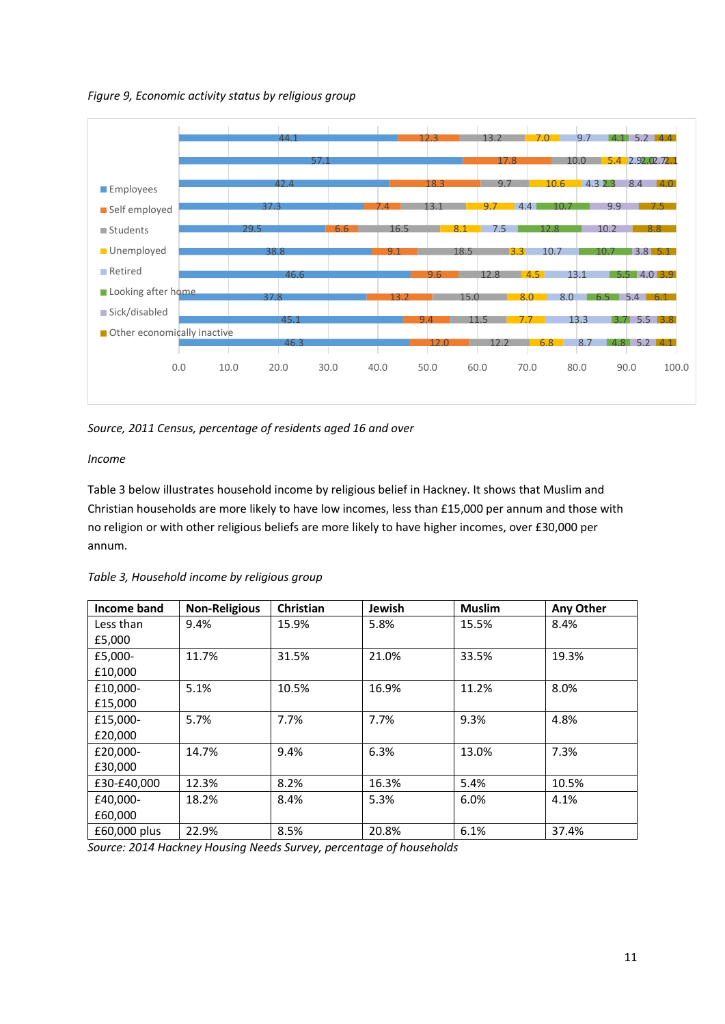*Figure 9, Economic activity status by religious group*



*Source, 2011 Census, percentage of residents aged 16 and over*

*Income*

Table 3 below illustrates household income by religious belief in Hackney. It shows that Muslim and Christian households are more likely to have low incomes, less than £15,000 per annum and those with no religion or with other religious beliefs are more likely to have higher incomes, over £30,000 per annum.

| Income band  | <b>Non-Religious</b> | Christian | Jewish | <b>Muslim</b> | Any Other |
|--------------|----------------------|-----------|--------|---------------|-----------|
| Less than    | 9.4%                 | 15.9%     | 5.8%   | 15.5%         | 8.4%      |
| £5,000       |                      |           |        |               |           |
| £5,000-      | 11.7%                | 31.5%     | 21.0%  | 33.5%         | 19.3%     |
| £10,000      |                      |           |        |               |           |
| £10,000-     | 5.1%                 | 10.5%     | 16.9%  | 11.2%         | 8.0%      |
| £15,000      |                      |           |        |               |           |
| £15,000-     | 5.7%                 | 7.7%      | 7.7%   | 9.3%          | 4.8%      |
| £20,000      |                      |           |        |               |           |
| £20,000-     | 14.7%                | 9.4%      | 6.3%   | 13.0%         | 7.3%      |
| £30,000      |                      |           |        |               |           |
| £30-£40,000  | 12.3%                | 8.2%      | 16.3%  | 5.4%          | 10.5%     |
| £40,000-     | 18.2%                | 8.4%      | 5.3%   | 6.0%          | 4.1%      |
| £60,000      |                      |           |        |               |           |
| £60,000 plus | 22.9%                | 8.5%      | 20.8%  | 6.1%          | 37.4%     |

*Table 3, Household income by religious group*

*Source: 2014 Hackney Housing Needs Survey, percentage of households*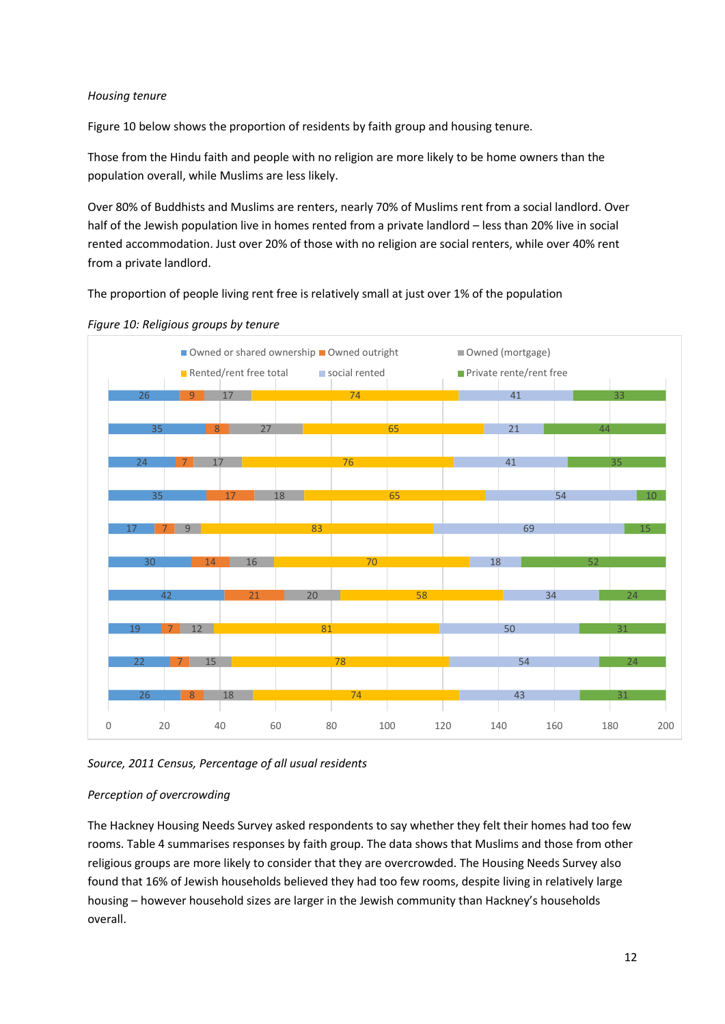### *Housing tenure*

Figure 10 below shows the proportion of residents by faith group and housing tenure.

Those from the Hindu faith and people with no religion are more likely to be home owners than the population overall, while Muslims are less likely.

Over 80% of Buddhists and Muslims are renters, nearly 70% of Muslims rent from a social landlord. Over half of the Jewish population live in homes rented from a private landlord – less than 20% live in social rented accommodation. Just over 20% of those with no religion are social renters, while over 40% rent from a private landlord.

The proportion of people living rent free is relatively small at just over 1% of the population





*Source, 2011 Census, Percentage of all usual residents*

#### *Perception of overcrowding*

The Hackney Housing Needs Survey asked respondents to say whether they felt their homes had too few rooms. Table 4 summarises responses by faith group. The data shows that Muslims and those from other religious groups are more likely to consider that they are overcrowded. The Housing Needs Survey also found that 16% of Jewish households believed they had too few rooms, despite living in relatively large housing – however household sizes are larger in the Jewish community than Hackney's households overall.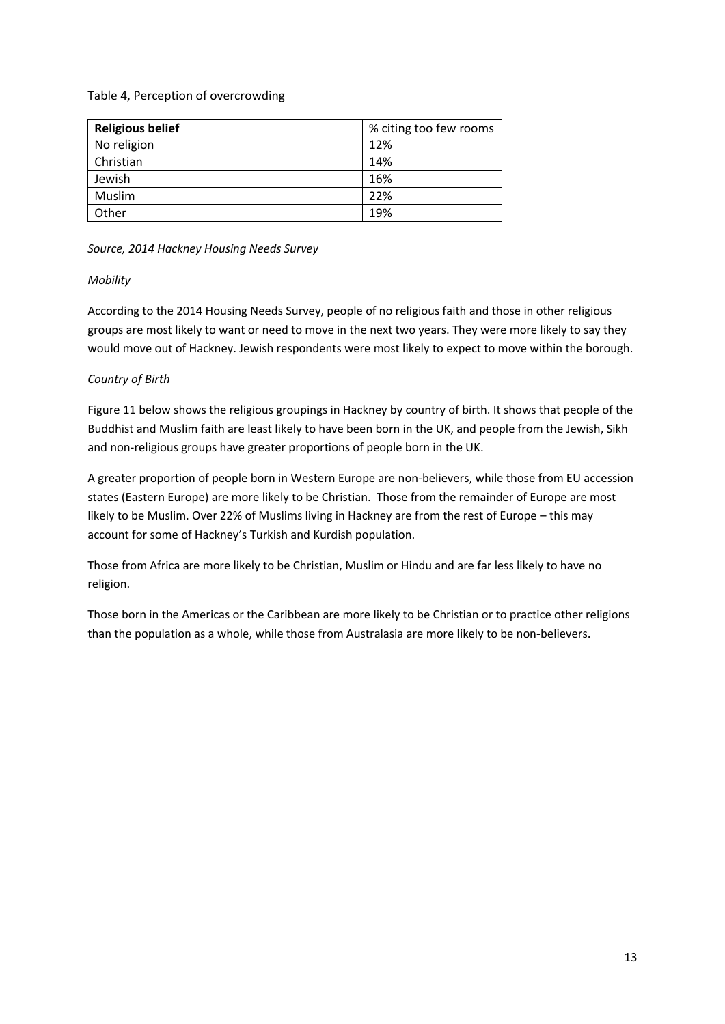### Table 4, Perception of overcrowding

| <b>Religious belief</b> | % citing too few rooms |  |  |
|-------------------------|------------------------|--|--|
| No religion             | 12%                    |  |  |
| Christian               | 14%                    |  |  |
| Jewish                  | 16%                    |  |  |
| Muslim                  | 22%                    |  |  |
| Other                   | 19%                    |  |  |

#### *Source, 2014 Hackney Housing Needs Survey*

### *Mobility*

According to the 2014 Housing Needs Survey, people of no religious faith and those in other religious groups are most likely to want or need to move in the next two years. They were more likely to say they would move out of Hackney. Jewish respondents were most likely to expect to move within the borough.

## *Country of Birth*

Figure 11 below shows the religious groupings in Hackney by country of birth. It shows that people of the Buddhist and Muslim faith are least likely to have been born in the UK, and people from the Jewish, Sikh and non-religious groups have greater proportions of people born in the UK.

A greater proportion of people born in Western Europe are non-believers, while those from EU accession states (Eastern Europe) are more likely to be Christian. Those from the remainder of Europe are most likely to be Muslim. Over 22% of Muslims living in Hackney are from the rest of Europe – this may account for some of Hackney's Turkish and Kurdish population.

Those from Africa are more likely to be Christian, Muslim or Hindu and are far less likely to have no religion.

Those born in the Americas or the Caribbean are more likely to be Christian or to practice other religions than the population as a whole, while those from Australasia are more likely to be non-believers.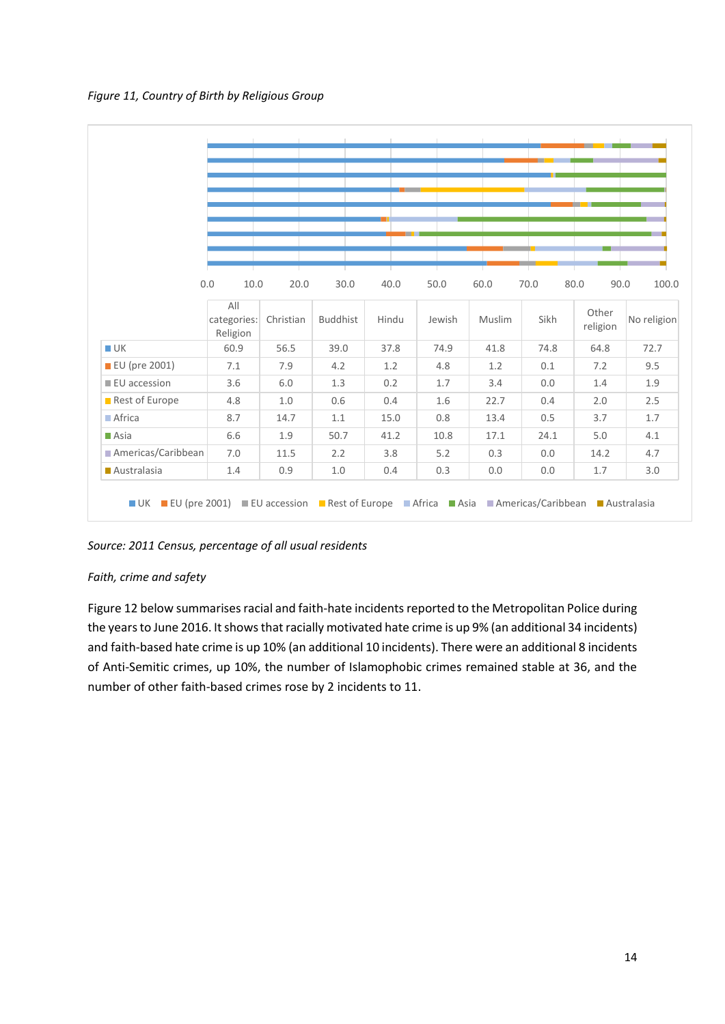

|                      |                                |           |                 |       |        |        | п.   |                   |             |
|----------------------|--------------------------------|-----------|-----------------|-------|--------|--------|------|-------------------|-------------|
|                      |                                |           |                 |       |        |        |      |                   |             |
|                      |                                |           |                 |       |        |        |      |                   |             |
|                      |                                |           |                 |       |        |        |      |                   |             |
|                      |                                |           |                 |       |        |        |      |                   |             |
|                      | 0.0<br>10.0                    | 20.0      | 30.0            | 40.0  | 50.0   | 60.0   | 70.0 | 80.0<br>90.0      | 100.0       |
|                      |                                |           |                 |       |        |        |      |                   |             |
|                      | All<br>categories:<br>Religion | Christian | <b>Buddhist</b> | Hindu | Jewish | Muslim | Sikh | Other<br>religion | No religion |
| $\blacksquare$ UK    | 60.9                           | 56.5      | 39.0            | 37.8  | 74.9   | 41.8   | 74.8 | 64.8              | 72.7        |
| <b>EU</b> (pre 2001) | 7.1                            | 7.9       | 4.2             | 1.2   | 4.8    | 1.2    | 0.1  | 7.2               | 9.5         |
| <b>EU</b> accession  | 3.6                            | 6.0       | 1.3             | 0.2   | 1.7    | 3.4    | 0.0  | 1.4               | 1.9         |
| Rest of Europe       | 4.8                            | 1.0       | 0.6             | 0.4   | 1.6    | 22.7   | 0.4  | 2.0               | 2.5         |
| Africa               | 8.7                            | 14.7      | 1.1             | 15.0  | 0.8    | 13.4   | 0.5  | 3.7               | 1.7         |
| $\blacksquare$ Asia  | 6.6                            | 1.9       | 50.7            | 41.2  | 10.8   | 17.1   | 24.1 | 5.0               | 4.1         |
| Americas/Caribbean   | 7.0                            | 11.5      | 2.2             | 3.8   | 5.2    | 0.3    | 0.0  | 14.2              | 4.7         |
| Australasia          | 1.4                            | 0.9       | 1.0             | 0.4   | 0.3    | 0.0    | 0.0  | 1.7               | 3.0         |

*Source: 2011 Census, percentage of all usual residents*

## *Faith, crime and safety*

Figure 12 below summarises racial and faith-hate incidents reported to the Metropolitan Police during the years to June 2016. It shows that racially motivated hate crime is up 9% (an additional 34 incidents) and faith-based hate crime is up 10% (an additional 10 incidents). There were an additional 8 incidents of Anti-Semitic crimes, up 10%, the number of Islamophobic crimes remained stable at 36, and the number of other faith-based crimes rose by 2 incidents to 11.

 $\frac{1}{2}$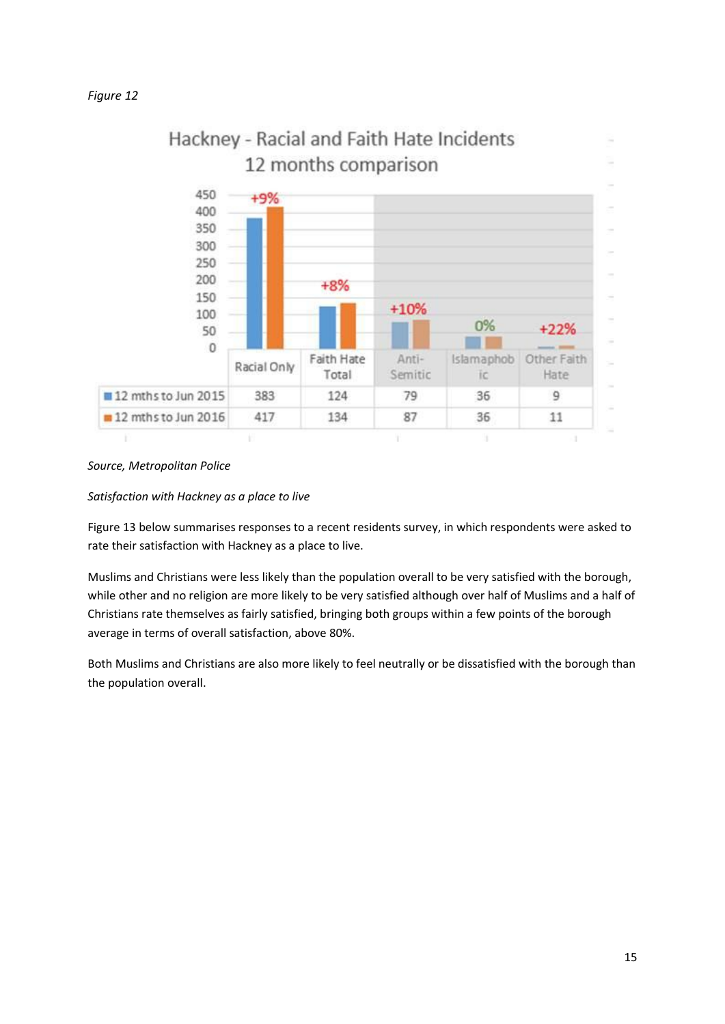

### *Source, Metropolitan Police*

#### *Satisfaction with Hackney as a place to live*

Figure 13 below summarises responses to a recent residents survey, in which respondents were asked to rate their satisfaction with Hackney as a place to live.

Muslims and Christians were less likely than the population overall to be very satisfied with the borough, while other and no religion are more likely to be very satisfied although over half of Muslims and a half of Christians rate themselves as fairly satisfied, bringing both groups within a few points of the borough average in terms of overall satisfaction, above 80%.

Both Muslims and Christians are also more likely to feel neutrally or be dissatisfied with the borough than the population overall.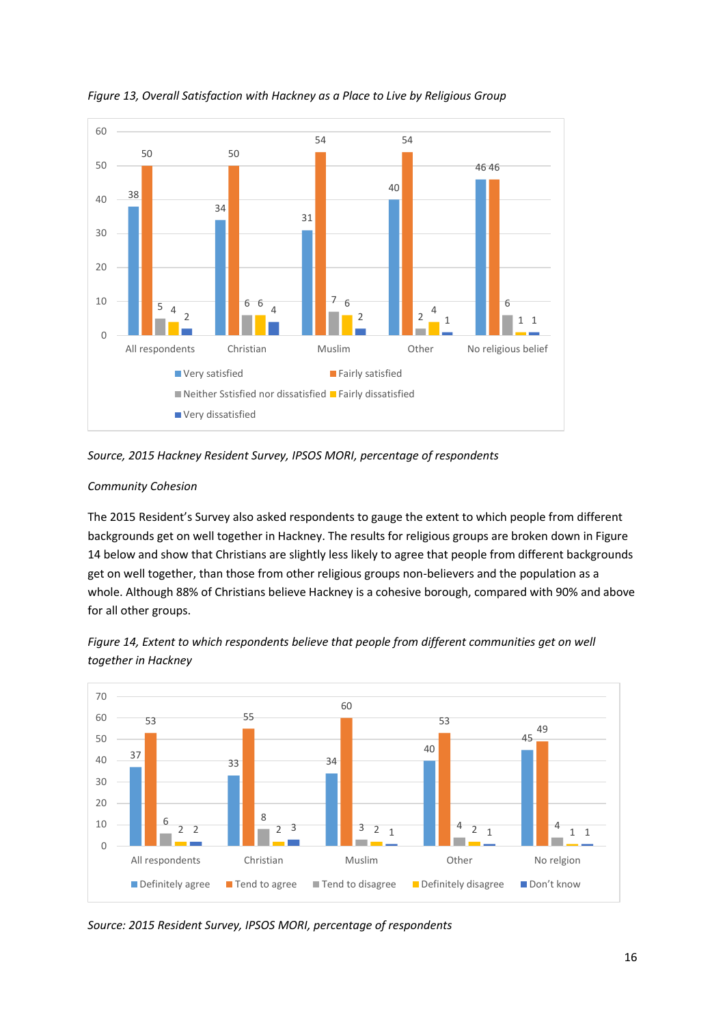

*Figure 13, Overall Satisfaction with Hackney as a Place to Live by Religious Group*

*Source, 2015 Hackney Resident Survey, IPSOS MORI, percentage of respondents*

## *Community Cohesion*

The 2015 Resident's Survey also asked respondents to gauge the extent to which people from different backgrounds get on well together in Hackney. The results for religious groups are broken down in Figure 14 below and show that Christians are slightly less likely to agree that people from different backgrounds get on well together, than those from other religious groups non-believers and the population as a whole. Although 88% of Christians believe Hackney is a cohesive borough, compared with 90% and above for all other groups.



*Figure 14, Extent to which respondents believe that people from different communities get on well together in Hackney*

*Source: 2015 Resident Survey, IPSOS MORI, percentage of respondents*